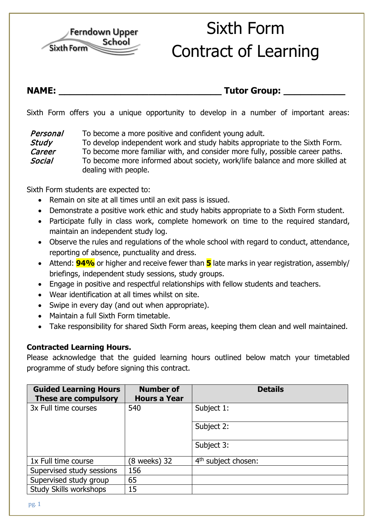

## Sixth Form Contract of Learning

## **NAME: \_\_\_\_\_\_\_\_\_\_\_\_\_\_\_\_\_\_\_\_\_\_\_\_\_\_\_\_\_ Tutor Group: \_\_\_\_\_\_\_\_\_\_\_**

Sixth Form offers you a unique opportunity to develop in a number of important areas:

**Personal** To become a more positive and confident young adult. **Study** To develop independent work and study habits appropriate to the Sixth Form. Career To become more familiar with, and consider more fully, possible career paths. Social To become more informed about society, work/life balance and more skilled at dealing with people.

Sixth Form students are expected to:

- Remain on site at all times until an exit pass is issued.
- Demonstrate a positive work ethic and study habits appropriate to a Sixth Form student.
- Participate fully in class work, complete homework on time to the required standard, maintain an independent study log.
- Observe the rules and regulations of the whole school with regard to conduct, attendance, reporting of absence, punctuality and dress.
- Attend: **94%** or higher and receive fewer than **5** late marks in year registration, assembly/ briefings, independent study sessions, study groups.
- Engage in positive and respectful relationships with fellow students and teachers.
- Wear identification at all times whilst on site.
- Swipe in every day (and out when appropriate).
- Maintain a full Sixth Form timetable.
- Take responsibility for shared Sixth Form areas, keeping them clean and well maintained.

## **Contracted Learning Hours.**

Please acknowledge that the guided learning hours outlined below match your timetabled programme of study before signing this contract.

| <b>Guided Learning Hours</b><br>These are compulsory | <b>Number of</b><br><b>Hours a Year</b> | <b>Details</b>                  |
|------------------------------------------------------|-----------------------------------------|---------------------------------|
| 3x Full time courses                                 | 540                                     | Subject 1:                      |
|                                                      |                                         | Subject 2:                      |
|                                                      |                                         | Subject 3:                      |
| 1x Full time course                                  | (8 weeks) 32                            | 4 <sup>th</sup> subject chosen: |
| Supervised study sessions                            | 156                                     |                                 |
| Supervised study group                               | 65                                      |                                 |
| <b>Study Skills workshops</b>                        | 15                                      |                                 |